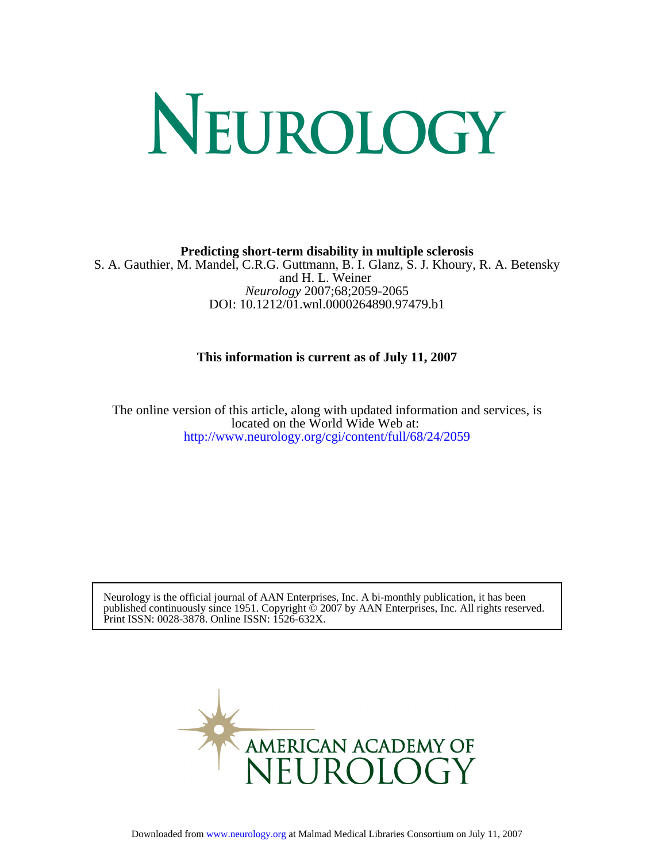# NEUROLOGY

**Predicting short-term disability in multiple sclerosis**

DOI: 10.1212/01.wnl.0000264890.97479.b1 *Neurology* 2007;68;2059-2065 and H. L. Weiner S. A. Gauthier, M. Mandel, C.R.G. Guttmann, B. I. Glanz, S. J. Khoury, R. A. Betensky

# **This information is current as of July 11, 2007**

<http://www.neurology.org/cgi/content/full/68/24/2059> located on the World Wide Web at: The online version of this article, along with updated information and services, is

Print ISSN: 0028-3878. Online ISSN: 1526-632X. published continuously since 1951. Copyright © 2007 by AAN Enterprises, Inc. All rights reserved. Neurology is the official journal of AAN Enterprises, Inc. A bi-monthly publication, it has been

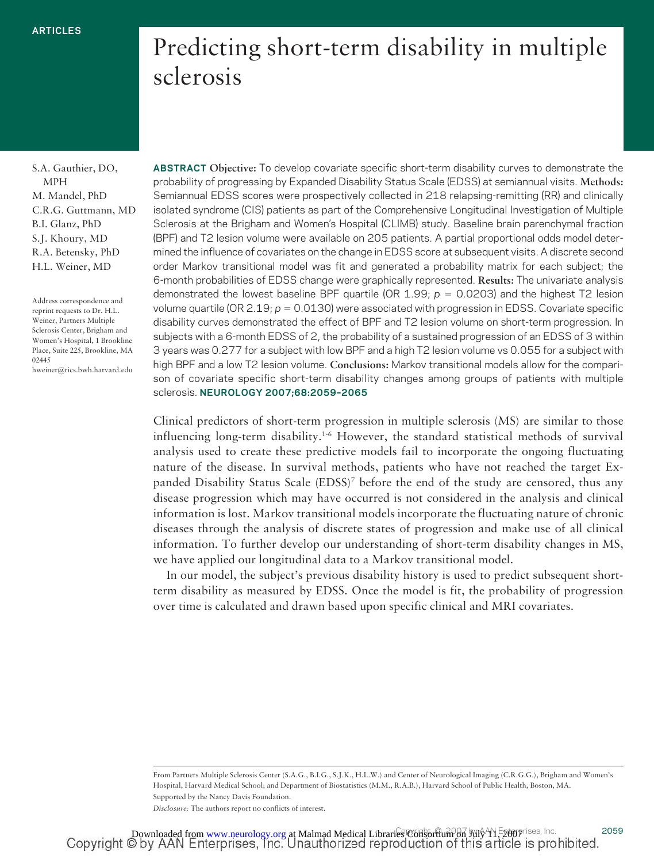# Predicting short-term disability in multiple sclerosis

S.A. Gauthier, DO, MPH M. Mandel, PhD C.R.G. Guttmann, MD B.I. Glanz, PhD S.J. Khoury, MD R.A. Betensky, PhD H.L. Weiner, MD

Address correspondence and reprint requests to Dr. H.L. Weiner, Partners Multiple Sclerosis Center, Brigham and Women's Hospital, 1 Brookline Place, Suite 225, Brookline, MA 02445 hweiner@rics.bwh.harvard.edu **ABSTRACT Objective:** To develop covariate specific short-term disability curves to demonstrate the probability of progressing by Expanded Disability Status Scale (EDSS) at semiannual visits. **Methods:** Semiannual EDSS scores were prospectively collected in 218 relapsing-remitting (RR) and clinically isolated syndrome (CIS) patients as part of the Comprehensive Longitudinal Investigation of Multiple Sclerosis at the Brigham and Women's Hospital (CLIMB) study. Baseline brain parenchymal fraction (BPF) and T2 lesion volume were available on 205 patients. A partial proportional odds model determined the influence of covariates on the change in EDSS score at subsequent visits. A discrete second order Markov transitional model was fit and generated a probability matrix for each subject; the 6-month probabilities of EDSS change were graphically represented. **Results:** The univariate analysis demonstrated the lowest baseline BPF quartile (OR  $1.99$ ;  $p = 0.0203$ ) and the highest T2 lesion volume quartile (OR 2.19;  $p = 0.0130$ ) were associated with progression in EDSS. Covariate specific disability curves demonstrated the effect of BPF and T2 lesion volume on short-term progression. In subjects with a 6-month EDSS of 2, the probability of a sustained progression of an EDSS of 3 within 3 years was 0.277 for a subject with low BPF and a high T2 lesion volume vs 0.055 for a subject with high BPF and a low T2 lesion volume. **Conclusions:** Markov transitional models allow for the comparison of covariate specific short-term disability changes among groups of patients with multiple sclerosis. **NEUROLOGY 2007;68:2059–2065**

Clinical predictors of short-term progression in multiple sclerosis (MS) are similar to those influencing long-term disability.1-6 However, the standard statistical methods of survival analysis used to create these predictive models fail to incorporate the ongoing fluctuating nature of the disease. In survival methods, patients who have not reached the target Expanded Disability Status Scale (EDSS)7 before the end of the study are censored, thus any disease progression which may have occurred is not considered in the analysis and clinical information is lost. Markov transitional models incorporate the fluctuating nature of chronic diseases through the analysis of discrete states of progression and make use of all clinical information. To further develop our understanding of short-term disability changes in MS, we have applied our longitudinal data to a Markov transitional model.

In our model, the subject's previous disability history is used to predict subsequent shortterm disability as measured by EDSS. Once the model is fit, the probability of progression over time is calculated and drawn based upon specific clinical and MRI covariates.

From Partners Multiple Sclerosis Center (S.A.G., B.I.G., S.J.K., H.L.W.) and Center of Neurological Imaging (C.R.G.G.), Brigham and Women's Hospital, Harvard Medical School; and Department of Biostatistics (M.M., R.A.B.), Harvard School of Public Health, Boston, MA. Supported by the Nancy Davis Foundation.

*Disclosure:* The authors report no conflicts of interest.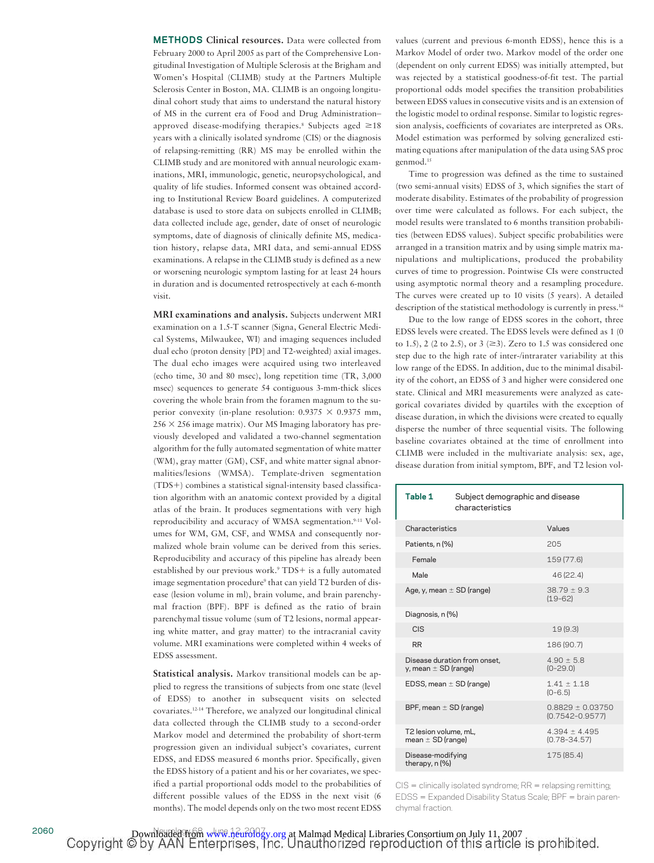**METHODS Clinical resources.** Data were collected from February 2000 to April 2005 as part of the Comprehensive Longitudinal Investigation of Multiple Sclerosis at the Brigham and Women's Hospital (CLIMB) study at the Partners Multiple Sclerosis Center in Boston, MA. CLIMB is an ongoing longitudinal cohort study that aims to understand the natural history of MS in the current era of Food and Drug Administration– approved disease-modifying therapies.<sup>8</sup> Subjects aged  $\geq 18$ years with a clinically isolated syndrome (CIS) or the diagnosis of relapsing-remitting (RR) MS may be enrolled within the CLIMB study and are monitored with annual neurologic examinations, MRI, immunologic, genetic, neuropsychological, and quality of life studies. Informed consent was obtained according to Institutional Review Board guidelines. A computerized database is used to store data on subjects enrolled in CLIMB; data collected include age, gender, date of onset of neurologic symptoms, date of diagnosis of clinically definite MS, medication history, relapse data, MRI data, and semi-annual EDSS examinations. A relapse in the CLIMB study is defined as a new or worsening neurologic symptom lasting for at least 24 hours in duration and is documented retrospectively at each 6-month visit.

**MRI examinations and analysis.** Subjects underwent MRI examination on a 1.5-T scanner (Signa, General Electric Medical Systems, Milwaukee, WI) and imaging sequences included dual echo (proton density [PD] and T2-weighted) axial images. The dual echo images were acquired using two interleaved (echo time, 30 and 80 msec), long repetition time (TR, 3,000 msec) sequences to generate 54 contiguous 3-mm-thick slices covering the whole brain from the foramen magnum to the superior convexity (in-plane resolution:  $0.9375 \times 0.9375$  mm,  $256 \times 256$  image matrix). Our MS Imaging laboratory has previously developed and validated a two-channel segmentation algorithm for the fully automated segmentation of white matter (WM), gray matter (GM), CSF, and white matter signal abnormalities/lesions (WMSA). Template-driven segmentation  $(TDS+)$  combines a statistical signal-intensity based classification algorithm with an anatomic context provided by a digital atlas of the brain. It produces segmentations with very high reproducibility and accuracy of WMSA segmentation.<sup>9-11</sup> Volumes for WM, GM, CSF, and WMSA and consequently normalized whole brain volume can be derived from this series. Reproducibility and accuracy of this pipeline has already been established by our previous work.<sup>9</sup> TDS+ is a fully automated image segmentation procedure<sup>9</sup> that can yield T2 burden of disease (lesion volume in ml), brain volume, and brain parenchymal fraction (BPF). BPF is defined as the ratio of brain parenchymal tissue volume (sum of T2 lesions, normal appearing white matter, and gray matter) to the intracranial cavity volume. MRI examinations were completed within 4 weeks of EDSS assessment.

**Statistical analysis.** Markov transitional models can be applied to regress the transitions of subjects from one state (level of EDSS) to another in subsequent visits on selected covariates.12-14 Therefore, we analyzed our longitudinal clinical data collected through the CLIMB study to a second-order Markov model and determined the probability of short-term progression given an individual subject's covariates, current EDSS, and EDSS measured 6 months prior. Specifically, given the EDSS history of a patient and his or her covariates, we specified a partial proportional odds model to the probabilities of different possible values of the EDSS in the next visit (6 months). The model depends only on the two most recent EDSS values (current and previous 6-month EDSS), hence this is a Markov Model of order two. Markov model of the order one (dependent on only current EDSS) was initially attempted, but was rejected by a statistical goodness-of-fit test. The partial proportional odds model specifies the transition probabilities between EDSS values in consecutive visits and is an extension of the logistic model to ordinal response. Similar to logistic regression analysis, coefficients of covariates are interpreted as ORs. Model estimation was performed by solving generalized estimating equations after manipulation of the data using SAS proc genmod.<sup>15</sup>

Time to progression was defined as the time to sustained (two semi-annual visits) EDSS of 3, which signifies the start of moderate disability. Estimates of the probability of progression over time were calculated as follows. For each subject, the model results were translated to 6 months transition probabilities (between EDSS values). Subject specific probabilities were arranged in a transition matrix and by using simple matrix manipulations and multiplications, produced the probability curves of time to progression. Pointwise CIs were constructed using asymptotic normal theory and a resampling procedure. The curves were created up to 10 visits (5 years). A detailed description of the statistical methodology is currently in press.<sup>16</sup>

Due to the low range of EDSS scores in the cohort, three EDSS levels were created. The EDSS levels were defined as 1 (0 to 1.5), 2 (2 to 2.5), or 3 ( $\geq$ 3). Zero to 1.5 was considered one step due to the high rate of inter-/intrarater variability at this low range of the EDSS. In addition, due to the minimal disability of the cohort, an EDSS of 3 and higher were considered one state. Clinical and MRI measurements were analyzed as categorical covariates divided by quartiles with the exception of disease duration, in which the divisions were created to equally disperse the number of three sequential visits. The following baseline covariates obtained at the time of enrollment into CLIMB were included in the multivariate analysis: sex, age, disease duration from initial symptom, BPF, and T2 lesion vol-

| Table 1                                                  | Subject demographic and disease<br>characteristics |                                             |  |  |
|----------------------------------------------------------|----------------------------------------------------|---------------------------------------------|--|--|
| Characteristics                                          |                                                    | Values                                      |  |  |
| Patients, n (%)                                          |                                                    | 205                                         |  |  |
| Female                                                   |                                                    | 159 (77.6)                                  |  |  |
| Male                                                     |                                                    | 46 (22.4)                                   |  |  |
| Age, y, mean $\pm$ SD (range)                            |                                                    | $38.79 \pm 9.3$<br>$(19-62)$                |  |  |
| Diagnosis, n (%)                                         |                                                    |                                             |  |  |
| <b>CIS</b>                                               |                                                    | 19(9.3)                                     |  |  |
| <b>RR</b>                                                |                                                    | 186 (90.7)                                  |  |  |
| Disease duration from onset,<br>y, mean $\pm$ SD (range) |                                                    | $4.90 \pm 5.8$<br>$(0 - 29.0)$              |  |  |
| EDSS, mean $\pm$ SD (range)                              |                                                    | $1.41 \pm 1.18$<br>$(0 - 6.5)$              |  |  |
| BPF, mean $\pm$ SD (range)                               |                                                    | $0.8829 \pm 0.03750$<br>$(0.7542 - 0.9577)$ |  |  |
| T2 lesion volume, mL,<br>mean $\pm$ SD (range)           |                                                    | $4.394 \pm 4.495$<br>$(0.78 - 34.57)$       |  |  |
| Disease-modifying<br>therapy, n (%)                      |                                                    | 175 (85.4)                                  |  |  |

 $CIS =$  clinically isolated syndrome;  $RR =$  relapsing remitting; EDSS = Expanded Disability Status Scale; BPF = brain parenchymal fraction.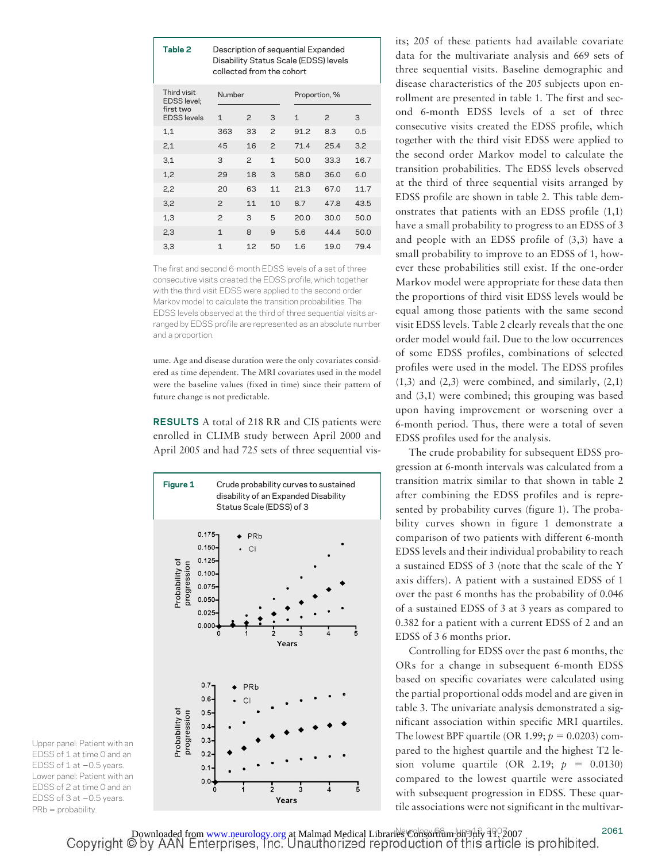| Table 2                         | Description of sequential Expanded<br>Disability Status Scale (EDSS) levels<br>collected from the cohort |                |               |      |               |      |
|---------------------------------|----------------------------------------------------------------------------------------------------------|----------------|---------------|------|---------------|------|
| Third visit<br>EDSS level;      | Number                                                                                                   |                | Proportion, % |      |               |      |
| first two<br><b>EDSS</b> levels | 1                                                                                                        | $\mathcal{P}$  | 3             | 1    | $\mathcal{P}$ | 3    |
| 1,1                             | 363                                                                                                      | 33             | $\mathcal{P}$ | 91.2 | 8.3           | 0.5  |
| 2,1                             | 45                                                                                                       | 16             | $\mathcal{P}$ | 714  | 25.4          | 3.2  |
| 3,1                             | 3                                                                                                        | $\overline{c}$ | $\mathbf{1}$  | 50.0 | 33.3          | 16.7 |
| 1,2                             | 29                                                                                                       | 18             | 3             | 58.0 | 36.0          | 6.0  |
| 2,2                             | 20                                                                                                       | 63             | 11            | 21.3 | 67.0          | 117  |
| 3,2                             | $\mathcal{P}$                                                                                            | 11             | 10            | 8.7  | 47.8          | 43.5 |
| 1,3                             | $\overline{c}$                                                                                           | 3              | 5             | 20 Q | 30.0          | 50.0 |
| 2,3                             | $\mathbf{1}$                                                                                             | 8              | 9             | 5.6  | 444           | 50.0 |
| 3,3                             | $\mathbf{1}$                                                                                             | 12             | 50            | 16   | 19.0          | 79.4 |

The first and second 6-month EDSS levels of a set of three consecutive visits created the EDSS profile, which together with the third visit EDSS were applied to the second order Markov model to calculate the transition probabilities. The EDSS levels observed at the third of three sequential visits arranged by EDSS profile are represented as an absolute number and a proportion.

ume. Age and disease duration were the only covariates considered as time dependent. The MRI covariates used in the model were the baseline values (fixed in time) since their pattern of future change is not predictable.

**RESULTS** A total of 218 RR and CIS patients were enrolled in CLIMB study between April 2000 and April 2005 and had 725 sets of three sequential vis-



its; 205 of these patients had available covariate data for the multivariate analysis and 669 sets of three sequential visits. Baseline demographic and disease characteristics of the 205 subjects upon enrollment are presented in table 1. The first and second 6-month EDSS levels of a set of three consecutive visits created the EDSS profile, which together with the third visit EDSS were applied to the second order Markov model to calculate the transition probabilities. The EDSS levels observed at the third of three sequential visits arranged by EDSS profile are shown in table 2. This table demonstrates that patients with an EDSS profile (1,1) have a small probability to progress to an EDSS of 3 and people with an EDSS profile of (3,3) have a small probability to improve to an EDSS of 1, however these probabilities still exist. If the one-order Markov model were appropriate for these data then the proportions of third visit EDSS levels would be equal among those patients with the same second visit EDSS levels. Table 2 clearly reveals that the one order model would fail. Due to the low occurrences of some EDSS profiles, combinations of selected profiles were used in the model. The EDSS profiles  $(1,3)$  and  $(2,3)$  were combined, and similarly,  $(2,1)$ and (3,1) were combined; this grouping was based upon having improvement or worsening over a 6-month period. Thus, there were a total of seven EDSS profiles used for the analysis.

The crude probability for subsequent EDSS progression at 6-month intervals was calculated from a transition matrix similar to that shown in table 2 after combining the EDSS profiles and is represented by probability curves (figure 1). The probability curves shown in figure 1 demonstrate a comparison of two patients with different 6-month EDSS levels and their individual probability to reach a sustained EDSS of 3 (note that the scale of the Y axis differs). A patient with a sustained EDSS of 1 over the past 6 months has the probability of 0.046 of a sustained EDSS of 3 at 3 years as compared to 0.382 for a patient with a current EDSS of 2 and an EDSS of 3 6 months prior.

Controlling for EDSS over the past 6 months, the ORs for a change in subsequent 6-month EDSS based on specific covariates were calculated using the partial proportional odds model and are given in table 3. The univariate analysis demonstrated a significant association within specific MRI quartiles. The lowest BPF quartile (OR 1.99;  $p = 0.0203$ ) compared to the highest quartile and the highest T2 lesion volume quartile  $(OR\ 2.19; p = 0.0130)$ compared to the lowest quartile were associated with subsequent progression in EDSS. These quartile associations were not significant in the multivar-

Upper panel: Patient with an EDSS of 1 at time 0 and an EDSS of  $1$  at  $-0.5$  years. Lower panel: Patient with an EDSS of 2 at time 0 and an EDSS of  $3$  at  $-0.5$  years.  $PRb = probability$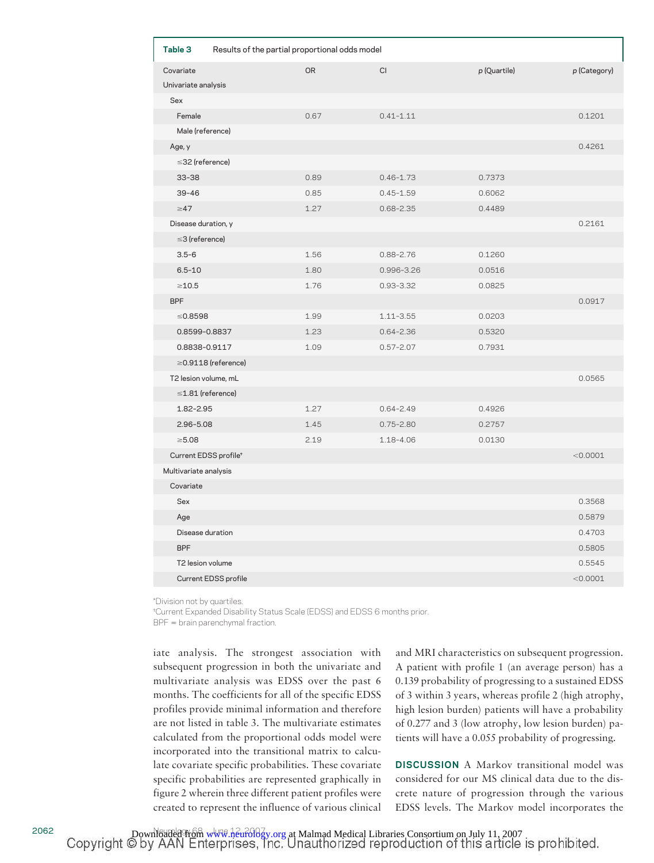| Table 3               | Results of the partial proportional odds model |           |               |              |              |  |  |  |
|-----------------------|------------------------------------------------|-----------|---------------|--------------|--------------|--|--|--|
| Covariate             |                                                | <b>OR</b> | <b>CI</b>     | p (Quartile) | p (Category) |  |  |  |
| Univariate analysis   |                                                |           |               |              |              |  |  |  |
| Sex                   |                                                |           |               |              |              |  |  |  |
| Female                |                                                | 0.67      | $0.41 - 1.11$ |              | 0.1201       |  |  |  |
| Male (reference)      |                                                |           |               |              |              |  |  |  |
| Age, y                |                                                |           |               |              | 0.4261       |  |  |  |
| $\leq$ 32 (reference) |                                                |           |               |              |              |  |  |  |
| $33 - 38$             |                                                | 0.89      | $0.46 - 1.73$ | 0.7373       |              |  |  |  |
| $39 - 46$             |                                                | 0.85      | $0.45 - 1.59$ | 0.6062       |              |  |  |  |
| $\geq 47$             |                                                | 1.27      | $0.68 - 2.35$ | 0.4489       |              |  |  |  |
| Disease duration, y   |                                                |           |               |              | 0.2161       |  |  |  |
| $\leq$ 3 (reference)  |                                                |           |               |              |              |  |  |  |
| $3.5 - 6$             |                                                | 1.56      | $0.88 - 2.76$ | 0.1260       |              |  |  |  |
| $6.5 - 10$            |                                                | 1.80      | 0.996-3.26    | 0.0516       |              |  |  |  |
| $\geq$ 10.5           |                                                | 1.76      | $0.93 - 3.32$ | 0.0825       |              |  |  |  |
| <b>BPF</b>            |                                                |           |               |              | 0.0917       |  |  |  |
| $\leq 0.8598$         |                                                | 1.99      | $1.11 - 3.55$ | 0.0203       |              |  |  |  |
| 0.8599-0.8837         |                                                | 1.23      | $0.64 - 2.36$ | 0.5320       |              |  |  |  |
| 0.8838-0.9117         |                                                | 1.09      | $0.57 - 2.07$ | 0.7931       |              |  |  |  |
|                       | $\geq$ 0.9118 (reference)                      |           |               |              |              |  |  |  |
| T2 lesion volume, mL  |                                                |           |               |              | 0.0565       |  |  |  |
|                       | $\leq$ 1.81 (reference)                        |           |               |              |              |  |  |  |
| 1.82-2.95             |                                                | 1.27      | $0.64 - 2.49$ | 0.4926       |              |  |  |  |
| $2.96 - 5.08$         |                                                | 1.45      | $0.75 - 2.80$ | 0.2757       |              |  |  |  |
| $\geq 5.08$           |                                                | 2.19      | 1.18-4.06     | 0.0130       |              |  |  |  |
|                       | Current EDSS profile <sup>+</sup>              |           |               |              | < 0.0001     |  |  |  |
| Multivariate analysis |                                                |           |               |              |              |  |  |  |
| Covariate             |                                                |           |               |              |              |  |  |  |
| Sex                   |                                                |           |               |              | 0.3568       |  |  |  |
| Age                   |                                                |           |               |              | 0.5879       |  |  |  |
|                       | Disease duration                               |           |               |              | 0.4703       |  |  |  |
| <b>BPF</b>            |                                                |           |               |              | 0.5805       |  |  |  |
| T2 lesion volume      |                                                |           |               |              | 0.5545       |  |  |  |
|                       | <b>Current EDSS profile</b>                    |           |               |              | < 0.0001     |  |  |  |

\*Division not by quartiles.

†Current Expanded Disability Status Scale (EDSS) and EDSS 6 months prior.

BPF = brain parenchymal fraction.

iate analysis. The strongest association with subsequent progression in both the univariate and multivariate analysis was EDSS over the past 6 months. The coefficients for all of the specific EDSS profiles provide minimal information and therefore are not listed in table 3. The multivariate estimates calculated from the proportional odds model were incorporated into the transitional matrix to calculate covariate specific probabilities. These covariate specific probabilities are represented graphically in figure 2 wherein three different patient profiles were created to represent the influence of various clinical and MRI characteristics on subsequent progression. A patient with profile 1 (an average person) has a 0.139 probability of progressing to a sustained EDSS of 3 within 3 years, whereas profile 2 (high atrophy, high lesion burden) patients will have a probability of 0.277 and 3 (low atrophy, low lesion burden) patients will have a 0.055 probability of progressing.

**DISCUSSION** A Markov transitional model was considered for our MS clinical data due to the discrete nature of progression through the various EDSS levels. The Markov model incorporates the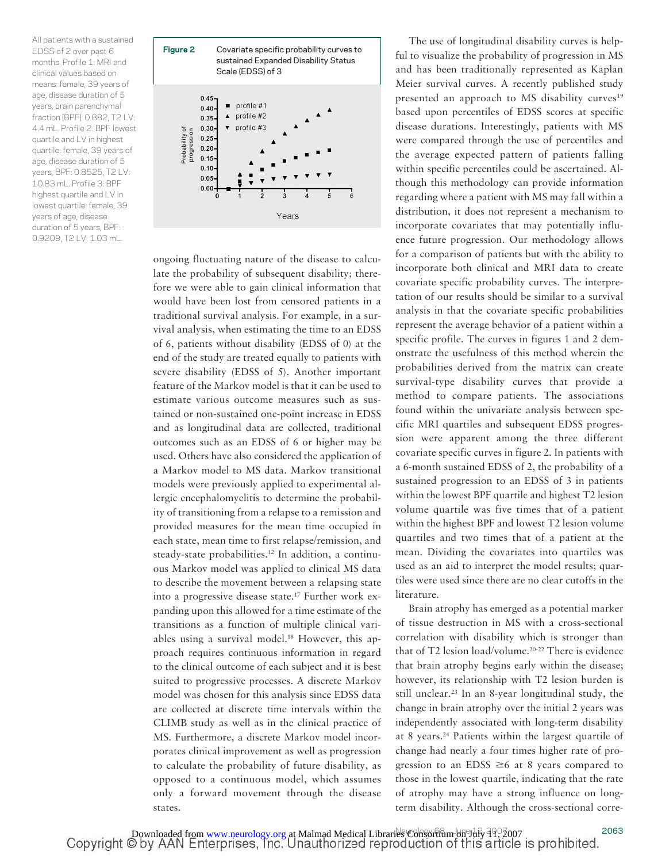All patients with a sustained EDSS of 2 over past 6 months. Profile 1: MRI and clinical values based on means: female, 39 years of age, disease duration of 5 years, brain parenchymal fraction (BPF): 0.882, T2 LV: 4.4 mL. Profile 2: BPF lowest quartile and LV in highest quartile: female, 39 years of age, disease duration of 5 years, BPF: 0.8525, T2 LV: 10.83 mL. Profile 3: BPF highest quartile and LV in lowest quartile: female, 39 years of age, disease duration of 5 years, BPF: 0.9209, T2 LV: 1.03 mL.



ongoing fluctuating nature of the disease to calculate the probability of subsequent disability; therefore we were able to gain clinical information that would have been lost from censored patients in a traditional survival analysis. For example, in a survival analysis, when estimating the time to an EDSS of 6, patients without disability (EDSS of 0) at the end of the study are treated equally to patients with severe disability (EDSS of 5). Another important feature of the Markov model is that it can be used to estimate various outcome measures such as sustained or non-sustained one-point increase in EDSS and as longitudinal data are collected, traditional outcomes such as an EDSS of 6 or higher may be used. Others have also considered the application of a Markov model to MS data. Markov transitional models were previously applied to experimental allergic encephalomyelitis to determine the probability of transitioning from a relapse to a remission and provided measures for the mean time occupied in each state, mean time to first relapse/remission, and steady-state probabilities.<sup>12</sup> In addition, a continuous Markov model was applied to clinical MS data to describe the movement between a relapsing state into a progressive disease state.17 Further work expanding upon this allowed for a time estimate of the transitions as a function of multiple clinical variables using a survival model.<sup>18</sup> However, this approach requires continuous information in regard to the clinical outcome of each subject and it is best suited to progressive processes. A discrete Markov model was chosen for this analysis since EDSS data are collected at discrete time intervals within the CLIMB study as well as in the clinical practice of MS. Furthermore, a discrete Markov model incorporates clinical improvement as well as progression to calculate the probability of future disability, as opposed to a continuous model, which assumes only a forward movement through the disease states.

The use of longitudinal disability curves is helpful to visualize the probability of progression in MS and has been traditionally represented as Kaplan Meier survival curves. A recently published study presented an approach to MS disability curves<sup>19</sup> based upon percentiles of EDSS scores at specific disease durations. Interestingly, patients with MS were compared through the use of percentiles and the average expected pattern of patients falling within specific percentiles could be ascertained. Although this methodology can provide information regarding where a patient with MS may fall within a distribution, it does not represent a mechanism to incorporate covariates that may potentially influence future progression. Our methodology allows for a comparison of patients but with the ability to incorporate both clinical and MRI data to create covariate specific probability curves. The interpretation of our results should be similar to a survival analysis in that the covariate specific probabilities represent the average behavior of a patient within a specific profile. The curves in figures 1 and 2 demonstrate the usefulness of this method wherein the probabilities derived from the matrix can create survival-type disability curves that provide a method to compare patients. The associations found within the univariate analysis between specific MRI quartiles and subsequent EDSS progression were apparent among the three different covariate specific curves in figure 2. In patients with a 6-month sustained EDSS of 2, the probability of a sustained progression to an EDSS of 3 in patients within the lowest BPF quartile and highest T2 lesion volume quartile was five times that of a patient within the highest BPF and lowest T2 lesion volume quartiles and two times that of a patient at the mean. Dividing the covariates into quartiles was used as an aid to interpret the model results; quartiles were used since there are no clear cutoffs in the literature.

Brain atrophy has emerged as a potential marker of tissue destruction in MS with a cross-sectional correlation with disability which is stronger than that of T2 lesion load/volume.20-22 There is evidence that brain atrophy begins early within the disease; however, its relationship with T2 lesion burden is still unclear.23 In an 8-year longitudinal study, the change in brain atrophy over the initial 2 years was independently associated with long-term disability at 8 years.24 Patients within the largest quartile of change had nearly a four times higher rate of progression to an EDSS  $\geq 6$  at 8 years compared to those in the lowest quartile, indicating that the rate of atrophy may have a strong influence on longterm disability. Although the cross-sectional corre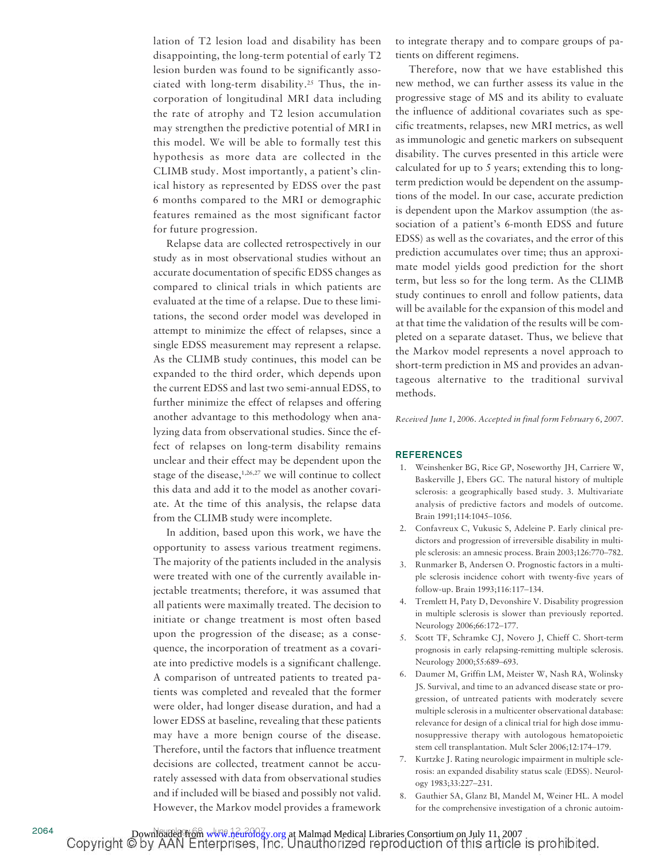lation of T2 lesion load and disability has been disappointing, the long-term potential of early T2 lesion burden was found to be significantly associated with long-term disability.<sup>25</sup> Thus, the incorporation of longitudinal MRI data including the rate of atrophy and T2 lesion accumulation may strengthen the predictive potential of MRI in this model. We will be able to formally test this hypothesis as more data are collected in the CLIMB study. Most importantly, a patient's clinical history as represented by EDSS over the past 6 months compared to the MRI or demographic features remained as the most significant factor for future progression.

Relapse data are collected retrospectively in our study as in most observational studies without an accurate documentation of specific EDSS changes as compared to clinical trials in which patients are evaluated at the time of a relapse. Due to these limitations, the second order model was developed in attempt to minimize the effect of relapses, since a single EDSS measurement may represent a relapse. As the CLIMB study continues, this model can be expanded to the third order, which depends upon the current EDSS and last two semi-annual EDSS, to further minimize the effect of relapses and offering another advantage to this methodology when analyzing data from observational studies. Since the effect of relapses on long-term disability remains unclear and their effect may be dependent upon the stage of the disease, $1,26,27$  we will continue to collect this data and add it to the model as another covariate. At the time of this analysis, the relapse data from the CLIMB study were incomplete.

In addition, based upon this work, we have the opportunity to assess various treatment regimens. The majority of the patients included in the analysis were treated with one of the currently available injectable treatments; therefore, it was assumed that all patients were maximally treated. The decision to initiate or change treatment is most often based upon the progression of the disease; as a consequence, the incorporation of treatment as a covariate into predictive models is a significant challenge. A comparison of untreated patients to treated patients was completed and revealed that the former were older, had longer disease duration, and had a lower EDSS at baseline, revealing that these patients may have a more benign course of the disease. Therefore, until the factors that influence treatment decisions are collected, treatment cannot be accurately assessed with data from observational studies and if included will be biased and possibly not valid. However, the Markov model provides a framework to integrate therapy and to compare groups of patients on different regimens.

Therefore, now that we have established this new method, we can further assess its value in the progressive stage of MS and its ability to evaluate the influence of additional covariates such as specific treatments, relapses, new MRI metrics, as well as immunologic and genetic markers on subsequent disability. The curves presented in this article were calculated for up to 5 years; extending this to longterm prediction would be dependent on the assumptions of the model. In our case, accurate prediction is dependent upon the Markov assumption (the association of a patient's 6-month EDSS and future EDSS) as well as the covariates, and the error of this prediction accumulates over time; thus an approximate model yields good prediction for the short term, but less so for the long term. As the CLIMB study continues to enroll and follow patients, data will be available for the expansion of this model and at that time the validation of the results will be completed on a separate dataset. Thus, we believe that the Markov model represents a novel approach to short-term prediction in MS and provides an advantageous alternative to the traditional survival methods.

*Received June 1, 2006. Accepted in final form February 6, 2007.*

## **REFERENCES**

- 1. Weinshenker BG, Rice GP, Noseworthy JH, Carriere W, Baskerville J, Ebers GC. The natural history of multiple sclerosis: a geographically based study. 3. Multivariate analysis of predictive factors and models of outcome. Brain 1991;114:1045–1056.
- 2. Confavreux C, Vukusic S, Adeleine P. Early clinical predictors and progression of irreversible disability in multiple sclerosis: an amnesic process. Brain 2003;126:770–782.
- 3. Runmarker B, Andersen O. Prognostic factors in a multiple sclerosis incidence cohort with twenty-five years of follow-up. Brain 1993;116:117–134.
- 4. Tremlett H, Paty D, Devonshire V. Disability progression in multiple sclerosis is slower than previously reported. Neurology 2006;66:172–177.
- 5. Scott TF, Schramke CJ, Novero J, Chieff C. Short-term prognosis in early relapsing-remitting multiple sclerosis. Neurology 2000;55:689–693.
- 6. Daumer M, Griffin LM, Meister W, Nash RA, Wolinsky JS. Survival, and time to an advanced disease state or progression, of untreated patients with moderately severe multiple sclerosis in a multicenter observational database: relevance for design of a clinical trial for high dose immunosuppressive therapy with autologous hematopoietic stem cell transplantation. Mult Scler 2006;12:174–179.
- 7. Kurtzke J. Rating neurologic impairment in multiple sclerosis: an expanded disability status scale (EDSS). Neurology 1983;33:227–231.
- 8. Gauthier SA, Glanz BI, Mandel M, Weiner HL. A model for the comprehensive investigation of a chronic autoim-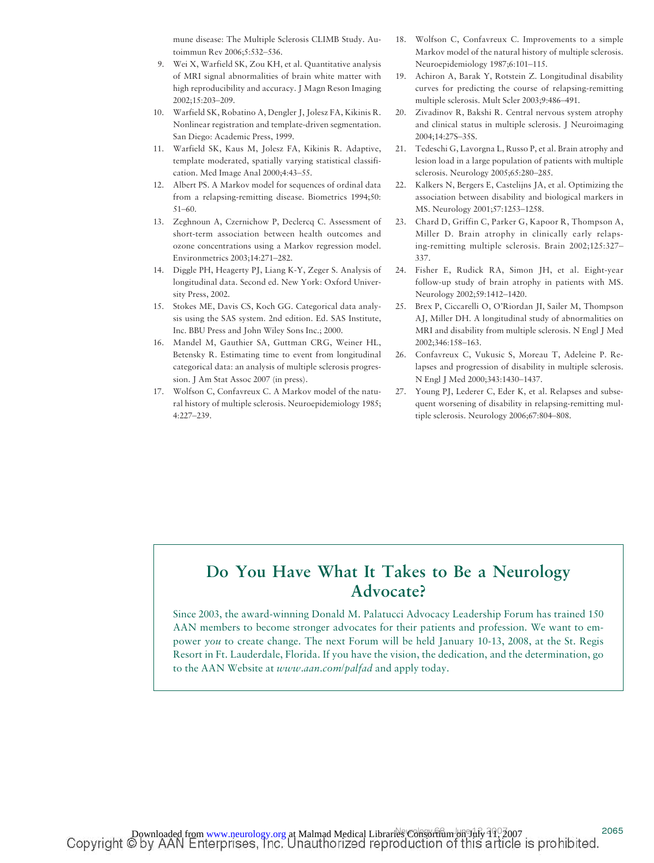mune disease: The Multiple Sclerosis CLIMB Study. Autoimmun Rev 2006;5:532–536.

- 9. Wei X, Warfield SK, Zou KH, et al. Quantitative analysis of MRI signal abnormalities of brain white matter with high reproducibility and accuracy. J Magn Reson Imaging 2002;15:203–209.
- 10. Warfield SK, Robatino A, Dengler J, Jolesz FA, Kikinis R. Nonlinear registration and template-driven segmentation. San Diego: Academic Press, 1999.
- 11. Warfield SK, Kaus M, Jolesz FA, Kikinis R. Adaptive, template moderated, spatially varying statistical classification. Med Image Anal 2000;4:43–55.
- 12. Albert PS. A Markov model for sequences of ordinal data from a relapsing-remitting disease. Biometrics 1994;50: 51–60.
- 13. Zeghnoun A, Czernichow P, Declercq C. Assessment of short-term association between health outcomes and ozone concentrations using a Markov regression model. Environmetrics 2003;14:271–282.
- 14. Diggle PH, Heagerty PJ, Liang K-Y, Zeger S. Analysis of longitudinal data. Second ed. New York: Oxford University Press, 2002.
- 15. Stokes ME, Davis CS, Koch GG. Categorical data analysis using the SAS system. 2nd edition. Ed. SAS Institute, Inc. BBU Press and John Wiley Sons Inc.; 2000.
- 16. Mandel M, Gauthier SA, Guttman CRG, Weiner HL, Betensky R. Estimating time to event from longitudinal categorical data: an analysis of multiple sclerosis progression. J Am Stat Assoc 2007 (in press).
- 17. Wolfson C, Confavreux C. A Markov model of the natural history of multiple sclerosis. Neuroepidemiology 1985; 4:227–239.
- 18. Wolfson C, Confavreux C. Improvements to a simple Markov model of the natural history of multiple sclerosis. Neuroepidemiology 1987;6:101–115.
- 19. Achiron A, Barak Y, Rotstein Z. Longitudinal disability curves for predicting the course of relapsing-remitting multiple sclerosis. Mult Scler 2003;9:486–491.
- 20. Zivadinov R, Bakshi R. Central nervous system atrophy and clinical status in multiple sclerosis. J Neuroimaging 2004;14:27S–35S.
- 21. Tedeschi G, Lavorgna L, Russo P, et al. Brain atrophy and lesion load in a large population of patients with multiple sclerosis. Neurology 2005;65:280–285.
- 22. Kalkers N, Bergers E, Castelijns JA, et al. Optimizing the association between disability and biological markers in MS. Neurology 2001;57:1253–1258.
- 23. Chard D, Griffin C, Parker G, Kapoor R, Thompson A, Miller D. Brain atrophy in clinically early relapsing-remitting multiple sclerosis. Brain 2002;125:327– 337.
- 24. Fisher E, Rudick RA, Simon JH, et al. Eight-year follow-up study of brain atrophy in patients with MS. Neurology 2002;59:1412–1420.
- 25. Brex P, Ciccarelli O, O'Riordan JI, Sailer M, Thompson AJ, Miller DH. A longitudinal study of abnormalities on MRI and disability from multiple sclerosis. N Engl J Med 2002;346:158–163.
- 26. Confavreux C, Vukusic S, Moreau T, Adeleine P. Relapses and progression of disability in multiple sclerosis. N Engl J Med 2000;343:1430–1437.
- 27. Young PJ, Lederer C, Eder K, et al. Relapses and subsequent worsening of disability in relapsing-remitting multiple sclerosis. Neurology 2006;67:804–808.

# **Do You Have What It Takes to Be a Neurology Advocate?**

Since 2003, the award-winning Donald M. Palatucci Advocacy Leadership Forum has trained 150 AAN members to become stronger advocates for their patients and profession. We want to empower *you* to create change. The next Forum will be held January 10-13, 2008, at the St. Regis Resort in Ft. Lauderdale, Florida. If you have the vision, the dedication, and the determination, go to the AAN Website at *www.aan.com/palfad* and apply today.